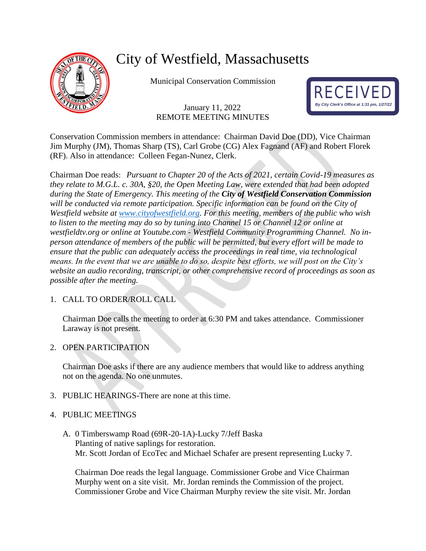

# City of Westfield, Massachusetts

Municipal Conservation Commission

# January 11, 2022 REMOTE MEETING MINUTES



Conservation Commission members in attendance: Chairman David Doe (DD), Vice Chairman Jim Murphy (JM), Thomas Sharp (TS), Carl Grobe (CG) Alex Fagnand (AF) and Robert Florek (RF). Also in attendance: Colleen Fegan-Nunez, Clerk.

Chairman Doe reads: *Pursuant to Chapter 20 of the Acts of 2021, certain Covid-19 measures as they relate to M.G.L. c. 30A, §20, the Open Meeting Law, were extended that had been adopted during the State of Emergency. This meeting of the City of Westfield Conservation Commission will be conducted via remote participation. Specific information can be found on the City of Westfield website at [www.cityofwestfield.org.](http://www.cityofwestfield.org/) For this meeting, members of the public who wish to listen to the meeting may do so by tuning into Channel 15 or Channel 12 or online at westfieldtv.org or online at Youtube.com - Westfield Community Programming Channel. No inperson attendance of members of the public will be permitted, but every effort will be made to ensure that the public can adequately access the proceedings in real time, via technological means. In the event that we are unable to do so, despite best efforts, we will post on the City's website an audio recording, transcript, or other comprehensive record of proceedings as soon as possible after the meeting.*

# 1. CALL TO ORDER/ROLL CALL

Chairman Doe calls the meeting to order at 6:30 PM and takes attendance. Commissioner Laraway is not present.

# 2. OPEN PARTICIPATION

Chairman Doe asks if there are any audience members that would like to address anything not on the agenda. No one unmutes.

3. PUBLIC HEARINGS-There are none at this time.

# 4. PUBLIC MEETINGS

A. 0 Timberswamp Road (69R-20-1A)-Lucky 7/Jeff Baska Planting of native saplings for restoration. Mr. Scott Jordan of EcoTec and Michael Schafer are present representing Lucky 7.

Chairman Doe reads the legal language. Commissioner Grobe and Vice Chairman Murphy went on a site visit. Mr. Jordan reminds the Commission of the project. Commissioner Grobe and Vice Chairman Murphy review the site visit. Mr. Jordan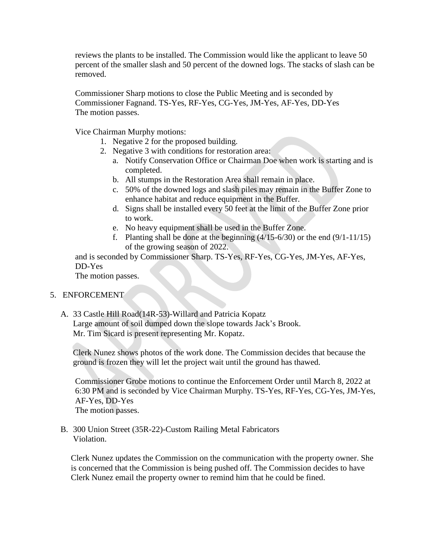reviews the plants to be installed. The Commission would like the applicant to leave 50 percent of the smaller slash and 50 percent of the downed logs. The stacks of slash can be removed.

Commissioner Sharp motions to close the Public Meeting and is seconded by Commissioner Fagnand. TS-Yes, RF-Yes, CG-Yes, JM-Yes, AF-Yes, DD-Yes The motion passes.

Vice Chairman Murphy motions:

- 1. Negative 2 for the proposed building.
- 2. Negative 3 with conditions for restoration area:
	- a. Notify Conservation Office or Chairman Doe when work is starting and is completed.
	- b. All stumps in the Restoration Area shall remain in place.
	- c. 50% of the downed logs and slash piles may remain in the Buffer Zone to enhance habitat and reduce equipment in the Buffer.
	- d. Signs shall be installed every 50 feet at the limit of the Buffer Zone prior to work.
	- e. No heavy equipment shall be used in the Buffer Zone.
	- f. Planting shall be done at the beginning  $(4/15-6/30)$  or the end  $(9/1-11/15)$ of the growing season of 2022.

and is seconded by Commissioner Sharp. TS-Yes, RF-Yes, CG-Yes, JM-Yes, AF-Yes, DD-Yes

The motion passes.

#### 5. ENFORCEMENT

A. 33 Castle Hill Road(14R-53)-Willard and Patricia Kopatz Large amount of soil dumped down the slope towards Jack's Brook. Mr. Tim Sicard is present representing Mr. Kopatz.

Clerk Nunez shows photos of the work done. The Commission decides that because the ground is frozen they will let the project wait until the ground has thawed.

Commissioner Grobe motions to continue the Enforcement Order until March 8, 2022 at 6:30 PM and is seconded by Vice Chairman Murphy. TS-Yes, RF-Yes, CG-Yes, JM-Yes, AF-Yes, DD-Yes The motion passes.

B. 300 Union Street (35R-22)-Custom Railing Metal Fabricators Violation.

Clerk Nunez updates the Commission on the communication with the property owner. She is concerned that the Commission is being pushed off. The Commission decides to have Clerk Nunez email the property owner to remind him that he could be fined.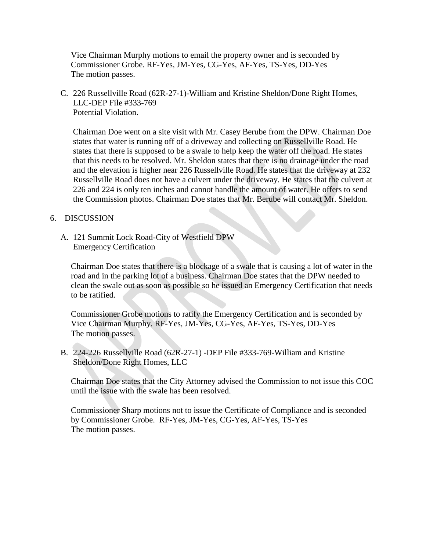Vice Chairman Murphy motions to email the property owner and is seconded by Commissioner Grobe. RF-Yes, JM-Yes, CG-Yes, AF-Yes, TS-Yes, DD-Yes The motion passes.

C. 226 Russellville Road (62R-27-1)-William and Kristine Sheldon/Done Right Homes, LLC-DEP File #333-769 Potential Violation.

Chairman Doe went on a site visit with Mr. Casey Berube from the DPW. Chairman Doe states that water is running off of a driveway and collecting on Russellville Road. He states that there is supposed to be a swale to help keep the water off the road. He states that this needs to be resolved. Mr. Sheldon states that there is no drainage under the road and the elevation is higher near 226 Russellville Road. He states that the driveway at 232 Russellville Road does not have a culvert under the driveway. He states that the culvert at 226 and 224 is only ten inches and cannot handle the amount of water. He offers to send the Commission photos. Chairman Doe states that Mr. Berube will contact Mr. Sheldon.

#### 6. DISCUSSION

A. 121 Summit Lock Road-City of Westfield DPW Emergency Certification

Chairman Doe states that there is a blockage of a swale that is causing a lot of water in the road and in the parking lot of a business. Chairman Doe states that the DPW needed to clean the swale out as soon as possible so he issued an Emergency Certification that needs to be ratified.

Commissioner Grobe motions to ratify the Emergency Certification and is seconded by Vice Chairman Murphy. RF-Yes, JM-Yes, CG-Yes, AF-Yes, TS-Yes, DD-Yes The motion passes.

B. 224-226 Russellville Road (62R-27-1) -DEP File #333-769-William and Kristine Sheldon/Done Right Homes, LLC

Chairman Doe states that the City Attorney advised the Commission to not issue this COC until the issue with the swale has been resolved.

Commissioner Sharp motions not to issue the Certificate of Compliance and is seconded by Commissioner Grobe. RF-Yes, JM-Yes, CG-Yes, AF-Yes, TS-Yes The motion passes.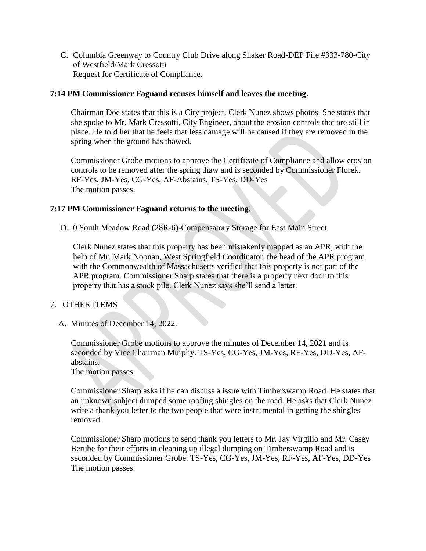C. Columbia Greenway to Country Club Drive along Shaker Road-DEP File #333-780-City of Westfield/Mark Cressotti Request for Certificate of Compliance.

#### **7:14 PM Commissioner Fagnand recuses himself and leaves the meeting.**

Chairman Doe states that this is a City project. Clerk Nunez shows photos. She states that she spoke to Mr. Mark Cressotti, City Engineer, about the erosion controls that are still in place. He told her that he feels that less damage will be caused if they are removed in the spring when the ground has thawed.

Commissioner Grobe motions to approve the Certificate of Compliance and allow erosion controls to be removed after the spring thaw and is seconded by Commissioner Florek. RF-Yes, JM-Yes, CG-Yes, AF-Abstains, TS-Yes, DD-Yes The motion passes.

### **7:17 PM Commissioner Fagnand returns to the meeting.**

D. 0 South Meadow Road (28R-6)-Compensatory Storage for East Main Street

Clerk Nunez states that this property has been mistakenly mapped as an APR, with the help of Mr. Mark Noonan, West Springfield Coordinator, the head of the APR program with the Commonwealth of Massachusetts verified that this property is not part of the APR program. Commissioner Sharp states that there is a property next door to this property that has a stock pile. Clerk Nunez says she'll send a letter.

# 7. OTHER ITEMS

A. Minutes of December 14, 2022.

Commissioner Grobe motions to approve the minutes of December 14, 2021 and is seconded by Vice Chairman Murphy. TS-Yes, CG-Yes, JM-Yes, RF-Yes, DD-Yes, AFabstains.

The motion passes.

Commissioner Sharp asks if he can discuss a issue with Timberswamp Road. He states that an unknown subject dumped some roofing shingles on the road. He asks that Clerk Nunez write a thank you letter to the two people that were instrumental in getting the shingles removed.

Commissioner Sharp motions to send thank you letters to Mr. Jay Virgilio and Mr. Casey Berube for their efforts in cleaning up illegal dumping on Timberswamp Road and is seconded by Commissioner Grobe. TS-Yes, CG-Yes, JM-Yes, RF-Yes, AF-Yes, DD-Yes The motion passes.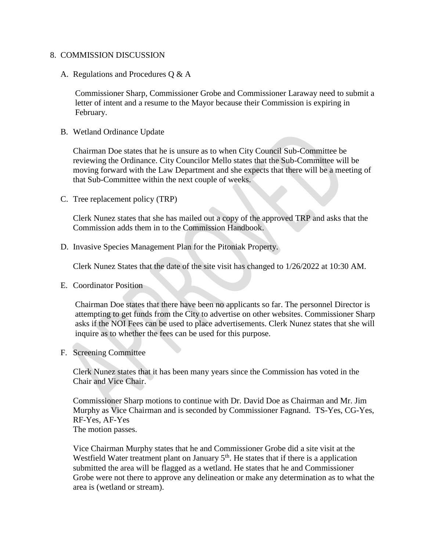#### 8. COMMISSION DISCUSSION

#### A. Regulations and Procedures Q & A

Commissioner Sharp, Commissioner Grobe and Commissioner Laraway need to submit a letter of intent and a resume to the Mayor because their Commission is expiring in February.

B. Wetland Ordinance Update

Chairman Doe states that he is unsure as to when City Council Sub-Committee be reviewing the Ordinance. City Councilor Mello states that the Sub-Committee will be moving forward with the Law Department and she expects that there will be a meeting of that Sub-Committee within the next couple of weeks.

C. Tree replacement policy (TRP)

Clerk Nunez states that she has mailed out a copy of the approved TRP and asks that the Commission adds them in to the Commission Handbook.

D. Invasive Species Management Plan for the Pitoniak Property.

Clerk Nunez States that the date of the site visit has changed to 1/26/2022 at 10:30 AM.

E. Coordinator Position

Chairman Doe states that there have been no applicants so far. The personnel Director is attempting to get funds from the City to advertise on other websites. Commissioner Sharp asks if the NOI Fees can be used to place advertisements. Clerk Nunez states that she will inquire as to whether the fees can be used for this purpose.

F. Screening Committee

Clerk Nunez states that it has been many years since the Commission has voted in the Chair and Vice Chair.

Commissioner Sharp motions to continue with Dr. David Doe as Chairman and Mr. Jim Murphy as Vice Chairman and is seconded by Commissioner Fagnand. TS-Yes, CG-Yes, RF-Yes, AF-Yes The motion passes.

Vice Chairman Murphy states that he and Commissioner Grobe did a site visit at the Westfield Water treatment plant on January  $5<sup>th</sup>$ . He states that if there is a application submitted the area will be flagged as a wetland. He states that he and Commissioner Grobe were not there to approve any delineation or make any determination as to what the area is (wetland or stream).